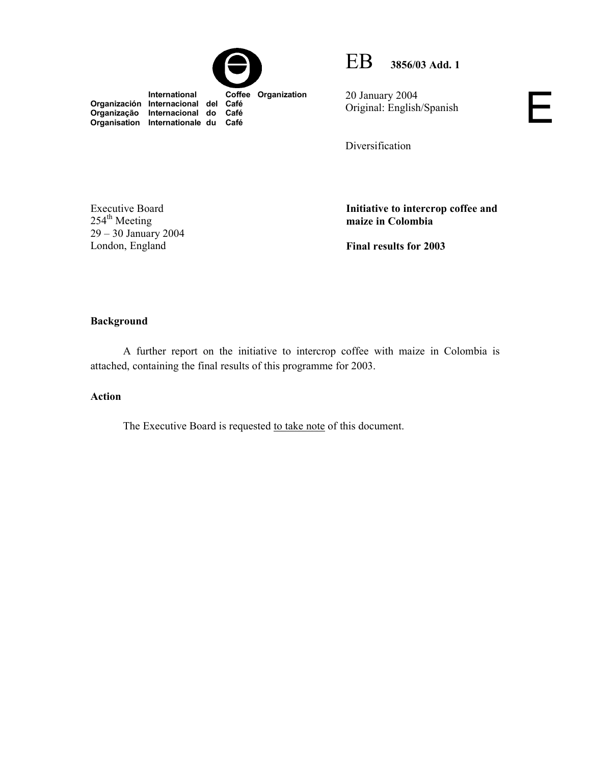



20 January 2004 Original: English/Spanish

Diversification

Executive Board  $254<sup>th</sup> Meeting$ 29 – 30 January 2004 London, England

**Organização Internacional do Café Organisation Internationale du Café**

> **Initiative to intercrop coffee and maize in Colombia**

Ε

**Final results for 2003** 

## **Background**

 A further report on the initiative to intercrop coffee with maize in Colombia is attached, containing the final results of this programme for 2003.

## **Action**

The Executive Board is requested to take note of this document.